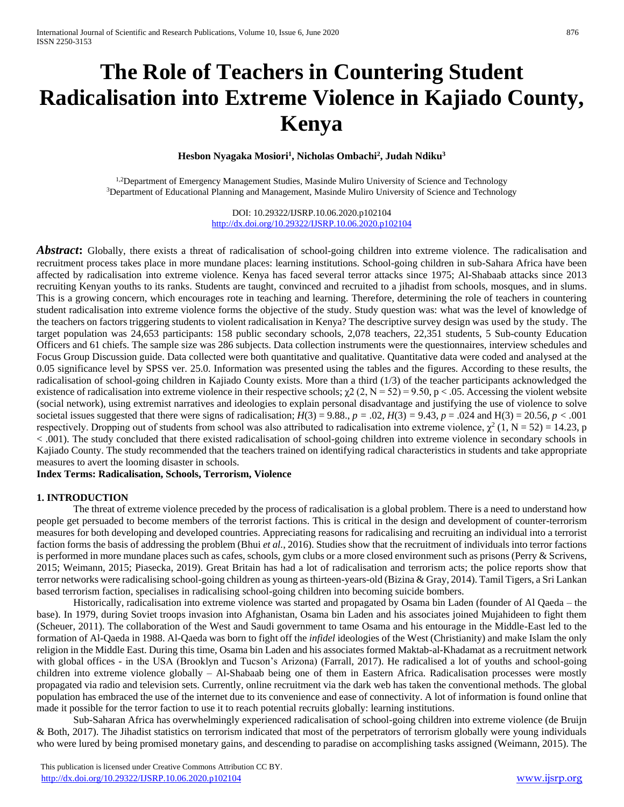# **The Role of Teachers in Countering Student Radicalisation into Extreme Violence in Kajiado County, Kenya**

**Hesbon Nyagaka Mosiori<sup>1</sup> , Nicholas Ombachi<sup>2</sup> , Judah Ndiku<sup>3</sup>**

<sup>1,2</sup>Department of Emergency Management Studies, Masinde Muliro University of Science and Technology <sup>3</sup>Department of Educational Planning and Management, Masinde Muliro University of Science and Technology

> DOI: 10.29322/IJSRP.10.06.2020.p102104 <http://dx.doi.org/10.29322/IJSRP.10.06.2020.p102104>

**Abstract:** Globally, there exists a threat of radicalisation of school-going children into extreme violence. The radicalisation and recruitment process takes place in more mundane places: learning institutions. School-going children in sub-Sahara Africa have been affected by radicalisation into extreme violence. Kenya has faced several terror attacks since 1975; Al-Shabaab attacks since 2013 recruiting Kenyan youths to its ranks. Students are taught, convinced and recruited to a jihadist from schools, mosques, and in slums. This is a growing concern, which encourages rote in teaching and learning. Therefore, determining the role of teachers in countering student radicalisation into extreme violence forms the objective of the study. Study question was: what was the level of knowledge of the teachers on factors triggering students to violent radicalisation in Kenya? The descriptive survey design was used by the study. The target population was 24,653 participants: 158 public secondary schools, 2,078 teachers, 22,351 students, 5 Sub-county Education Officers and 61 chiefs. The sample size was 286 subjects. Data collection instruments were the questionnaires, interview schedules and Focus Group Discussion guide. Data collected were both quantitative and qualitative. Quantitative data were coded and analysed at the 0.05 significance level by SPSS ver. 25.0. Information was presented using the tables and the figures. According to these results, the radicalisation of school-going children in Kajiado County exists. More than a third (1/3) of the teacher participants acknowledged the existence of radicalisation into extreme violence in their respective schools;  $\chi^2$  (2, N = 52) = 9.50, p < .05. Accessing the violent website (social network), using extremist narratives and ideologies to explain personal disadvantage and justifying the use of violence to solve societal issues suggested that there were signs of radicalisation;  $H(3) = 9.88$ ,  $p = .02$ ,  $H(3) = 9.43$ ,  $p = .024$  and  $H(3) = 20.56$ ,  $p < .001$ respectively. Dropping out of students from school was also attributed to radicalisation into extreme violence,  $\chi^2$  (1, N = 52) = 14.23, p < .001). The study concluded that there existed radicalisation of school-going children into extreme violence in secondary schools in Kajiado County. The study recommended that the teachers trained on identifying radical characteristics in students and take appropriate measures to avert the looming disaster in schools.

**Index Terms: Radicalisation, Schools, Terrorism, Violence**

# **1. INTRODUCTION**

The threat of extreme violence preceded by the process of radicalisation is a global problem. There is a need to understand how people get persuaded to become members of the terrorist factions. This is critical in the design and development of counter-terrorism measures for both developing and developed countries. Appreciating reasons for radicalising and recruiting an individual into a terrorist faction forms the basis of addressing the problem (Bhui *et al.*, 2016). Studies show that the recruitment of individuals into terror factions is performed in more mundane places such as cafes, schools, gym clubs or a more closed environment such as prisons (Perry  $&$  Scrivens, 2015; Weimann, 2015; Piasecka, 2019). Great Britain has had a lot of radicalisation and terrorism acts; the police reports show that terror networks were radicalising school-going children as young as thirteen-years-old (Bizina & Gray, 2014). Tamil Tigers, a Sri Lankan based terrorism faction, specialises in radicalising school-going children into becoming suicide bombers.

Historically, radicalisation into extreme violence was started and propagated by Osama bin Laden (founder of Al Qaeda – the base). In 1979, during Soviet troops invasion into Afghanistan, Osama bin Laden and his associates joined Mujahideen to fight them (Scheuer, 2011). The collaboration of the West and Saudi government to tame Osama and his entourage in the Middle-East led to the formation of Al-Qaeda in 1988. Al-Qaeda was born to fight off the *infidel* ideologies of the West (Christianity) and make Islam the only religion in the Middle East. During this time, Osama bin Laden and his associates formed Maktab-al-Khadamat as a recruitment network with global offices - in the USA (Brooklyn and Tucson's Arizona) (Farrall, 2017). He radicalised a lot of youths and school-going children into extreme violence globally – Al-Shabaab being one of them in Eastern Africa. Radicalisation processes were mostly propagated via radio and television sets. Currently, online recruitment via the dark web has taken the conventional methods. The global population has embraced the use of the internet due to its convenience and ease of connectivity. A lot of information is found online that made it possible for the terror faction to use it to reach potential recruits globally: learning institutions.

Sub-Saharan Africa has overwhelmingly experienced radicalisation of school-going children into extreme violence (de Bruijn & Both, 2017). The Jihadist statistics on terrorism indicated that most of the perpetrators of terrorism globally were young individuals who were lured by being promised monetary gains, and descending to paradise on accomplishing tasks assigned (Weimann, 2015). The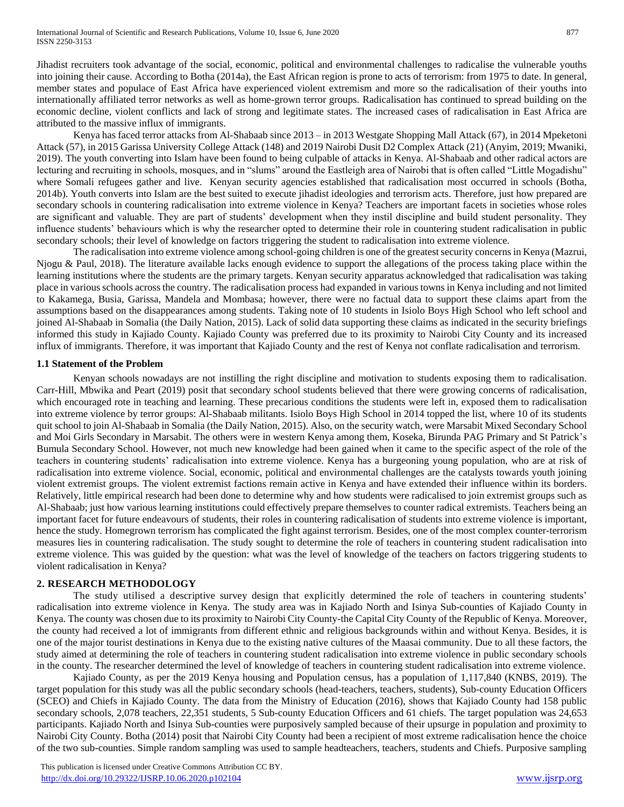Jihadist recruiters took advantage of the social, economic, political and environmental challenges to radicalise the vulnerable youths into joining their cause. According to Botha (2014a), the East African region is prone to acts of terrorism: from 1975 to date. In general, member states and populace of East Africa have experienced violent extremism and more so the radicalisation of their youths into internationally affiliated terror networks as well as home-grown terror groups. Radicalisation has continued to spread building on the economic decline, violent conflicts and lack of strong and legitimate states. The increased cases of radicalisation in East Africa are attributed to the massive influx of immigrants.

Kenya has faced terror attacks from Al-Shabaab since 2013 – in 2013 Westgate Shopping Mall Attack (67), in 2014 Mpeketoni Attack (57), in 2015 Garissa University College Attack (148) and 2019 Nairobi Dusit D2 Complex Attack (21) (Anyim, 2019; Mwaniki, 2019). The youth converting into Islam have been found to being culpable of attacks in Kenya. Al-Shabaab and other radical actors are lecturing and recruiting in schools, mosques, and in "slums" around the Eastleigh area of Nairobi that is often called "Little Mogadishu" where Somali refugees gather and live. Kenyan security agencies established that radicalisation most occurred in schools (Botha, 2014b). Youth converts into Islam are the best suited to execute jihadist ideologies and terrorism acts. Therefore, just how prepared are secondary schools in countering radicalisation into extreme violence in Kenya? Teachers are important facets in societies whose roles are significant and valuable. They are part of students' development when they instil discipline and build student personality. They influence students' behaviours which is why the researcher opted to determine their role in countering student radicalisation in public secondary schools; their level of knowledge on factors triggering the student to radicalisation into extreme violence.

The radicalisation into extreme violence among school-going children is one of the greatest security concernsin Kenya (Mazrui, Njogu & Paul, 2018). The literature available lacks enough evidence to support the allegations of the process taking place within the learning institutions where the students are the primary targets. Kenyan security apparatus acknowledged that radicalisation was taking place in various schools across the country. The radicalisation process had expanded in various towns in Kenya including and not limited to Kakamega, Busia, Garissa, Mandela and Mombasa; however, there were no factual data to support these claims apart from the assumptions based on the disappearances among students. Taking note of 10 students in Isiolo Boys High School who left school and joined Al-Shabaab in Somalia (the Daily Nation, 2015). Lack of solid data supporting these claims as indicated in the security briefings informed this study in Kajiado County. Kajiado County was preferred due to its proximity to Nairobi City County and its increased influx of immigrants. Therefore, it was important that Kajiado County and the rest of Kenya not conflate radicalisation and terrorism.

# **1.1 Statement of the Problem**

Kenyan schools nowadays are not instilling the right discipline and motivation to students exposing them to radicalisation. Carr-Hill, Mbwika and Peart (2019) posit that secondary school students believed that there were growing concerns of radicalisation, which encouraged rote in teaching and learning. These precarious conditions the students were left in, exposed them to radicalisation into extreme violence by terror groups: Al-Shabaab militants. Isiolo Boys High School in 2014 topped the list, where 10 of its students quit school to join Al-Shabaab in Somalia (the Daily Nation, 2015). Also, on the security watch, were Marsabit Mixed Secondary School and Moi Girls Secondary in Marsabit. The others were in western Kenya among them, Koseka, Birunda PAG Primary and St Patrick's Bumula Secondary School. However, not much new knowledge had been gained when it came to the specific aspect of the role of the teachers in countering students' radicalisation into extreme violence. Kenya has a burgeoning young population, who are at risk of radicalisation into extreme violence. Social, economic, political and environmental challenges are the catalysts towards youth joining violent extremist groups. The violent extremist factions remain active in Kenya and have extended their influence within its borders. Relatively, little empirical research had been done to determine why and how students were radicalised to join extremist groups such as Al-Shabaab; just how various learning institutions could effectively prepare themselves to counter radical extremists. Teachers being an important facet for future endeavours of students, their roles in countering radicalisation of students into extreme violence is important, hence the study. Homegrown terrorism has complicated the fight against terrorism. Besides, one of the most complex counter-terrorism measures lies in countering radicalisation. The study sought to determine the role of teachers in countering student radicalisation into extreme violence. This was guided by the question: what was the level of knowledge of the teachers on factors triggering students to violent radicalisation in Kenya?

# **2. RESEARCH METHODOLOGY**

The study utilised a descriptive survey design that explicitly determined the role of teachers in countering students' radicalisation into extreme violence in Kenya. The study area was in Kajiado North and Isinya Sub-counties of Kajiado County in Kenya. The county was chosen due to its proximity to Nairobi City County-the Capital City County of the Republic of Kenya. Moreover, the county had received a lot of immigrants from different ethnic and religious backgrounds within and without Kenya. Besides, it is one of the major tourist destinations in Kenya due to the existing native cultures of the Maasai community. Due to all these factors, the study aimed at determining the role of teachers in countering student radicalisation into extreme violence in public secondary schools in the county. The researcher determined the level of knowledge of teachers in countering student radicalisation into extreme violence.

Kajiado County, as per the 2019 Kenya housing and Population census, has a population of 1,117,840 (KNBS, 2019). The target population for this study was all the public secondary schools (head-teachers, teachers, students), Sub-county Education Officers (SCEO) and Chiefs in Kajiado County. The data from the Ministry of Education (2016), shows that Kajiado County had 158 public secondary schools, 2,078 teachers, 22,351 students, 5 Sub-county Education Officers and 61 chiefs. The target population was 24,653 participants. Kajiado North and Isinya Sub-counties were purposively sampled because of their upsurge in population and proximity to Nairobi City County. Botha (2014) posit that Nairobi City County had been a recipient of most extreme radicalisation hence the choice of the two sub-counties. Simple random sampling was used to sample headteachers, teachers, students and Chiefs. Purposive sampling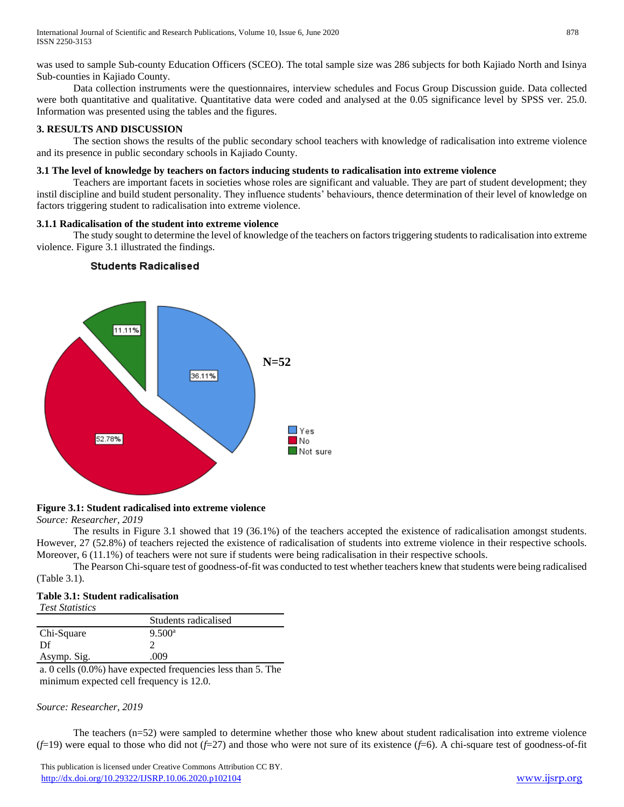was used to sample Sub-county Education Officers (SCEO). The total sample size was 286 subjects for both Kajiado North and Isinya Sub-counties in Kajiado County.

Data collection instruments were the questionnaires, interview schedules and Focus Group Discussion guide. Data collected were both quantitative and qualitative. Quantitative data were coded and analysed at the 0.05 significance level by SPSS ver. 25.0. Information was presented using the tables and the figures.

# **3. RESULTS AND DISCUSSION**

The section shows the results of the public secondary school teachers with knowledge of radicalisation into extreme violence and its presence in public secondary schools in Kajiado County.

# **3.1 The level of knowledge by teachers on factors inducing students to radicalisation into extreme violence**

Teachers are important facets in societies whose roles are significant and valuable. They are part of student development; they instil discipline and build student personality. They influence students' behaviours, thence determination of their level of knowledge on factors triggering student to radicalisation into extreme violence.

# **3.1.1 Radicalisation of the student into extreme violence**

The study sought to determine the level of knowledge of the teachers on factors triggering students to radicalisation into extreme violence. Figure 3.1 illustrated the findings.



# **Students Radicalised**

# **Figure 3.1: Student radicalised into extreme violence**

*Source: Researcher, 2019*

The results in Figure 3.1 showed that 19 (36.1%) of the teachers accepted the existence of radicalisation amongst students. However, 27 (52.8%) of teachers rejected the existence of radicalisation of students into extreme violence in their respective schools. Moreover, 6 (11.1%) of teachers were not sure if students were being radicalisation in their respective schools.

The Pearson Chi-square test of goodness-of-fit was conducted to test whether teachers knew that students were being radicalised (Table 3.1).

# **Table 3.1: Student radicalisation**

| <b>Test Statistics</b> |                      |
|------------------------|----------------------|
|                        | Students radicalised |
| Chi-Square             | 9.500 <sup>a</sup>   |
| Df                     |                      |
| Asymp. Sig.            | 009                  |

a. 0 cells (0.0%) have expected frequencies less than 5. The minimum expected cell frequency is 12.0.

# *Source: Researcher, 2019*

The teachers (n=52) were sampled to determine whether those who knew about student radicalisation into extreme violence (*f*=19) were equal to those who did not (*f*=27) and those who were not sure of its existence (*f*=6). A chi-square test of goodness-of-fit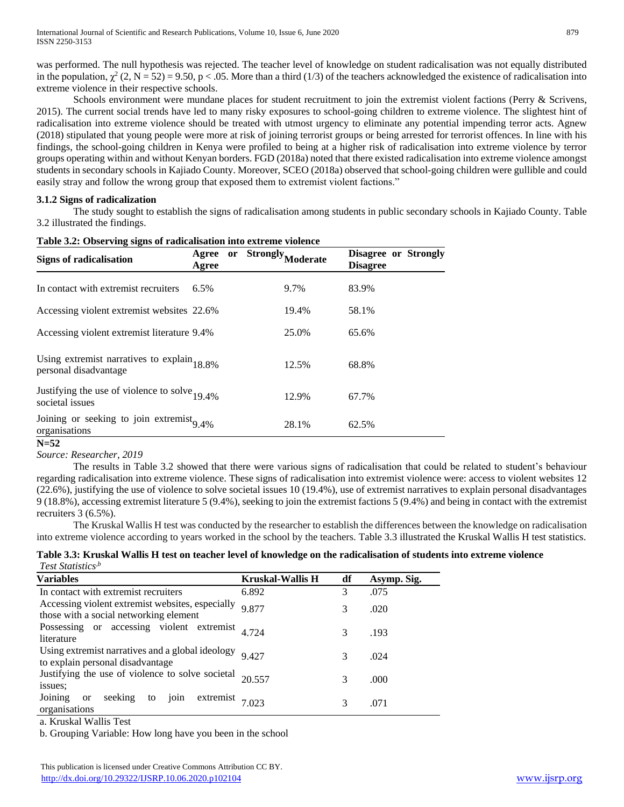was performed. The null hypothesis was rejected. The teacher level of knowledge on student radicalisation was not equally distributed in the population,  $\chi^2$  (2, N = 52) = 9.50, p < .05. More than a third (1/3) of the teachers acknowledged the existence of radicalisation into extreme violence in their respective schools.

Schools environment were mundane places for student recruitment to join the extremist violent factions (Perry & Scrivens, 2015). The current social trends have led to many risky exposures to school-going children to extreme violence. The slightest hint of radicalisation into extreme violence should be treated with utmost urgency to eliminate any potential impending terror acts. Agnew (2018) stipulated that young people were more at risk of joining terrorist groups or being arrested for terrorist offences. In line with his findings, the school-going children in Kenya were profiled to being at a higher risk of radicalisation into extreme violence by terror groups operating within and without Kenyan borders. FGD (2018a) noted that there existed radicalisation into extreme violence amongst students in secondary schools in Kajiado County. Moreover, SCEO (2018a) observed that school-going children were gullible and could easily stray and follow the wrong group that exposed them to extremist violent factions."

# **3.1.2 Signs of radicalization**

The study sought to establish the signs of radicalisation among students in public secondary schools in Kajiado County. Table 3.2 illustrated the findings.

| Signs of radicalisation                                                 | Agree<br>Agree | <b>or</b> | Strongly,<br>loderate | Disagree or Strongly<br><b>Disagree</b> |
|-------------------------------------------------------------------------|----------------|-----------|-----------------------|-----------------------------------------|
| In contact with extremist recruiters                                    | 6.5%           |           | 9.7%                  | 83.9%                                   |
| Accessing violent extremist websites 22.6%                              |                |           | 19.4%                 | 58.1%                                   |
| Accessing violent extremist literature 9.4%                             |                |           | 25.0%                 | 65.6%                                   |
| Using extremist narratives to explain $18.8\%$<br>personal disadvantage |                |           | 12.5%                 | 68.8%                                   |
| Justifying the use of violence to solve $_{19.4\%}$<br>societal issues  |                |           | 12.9%                 | 67.7%                                   |
| Joining or seeking to join extremist $_{9.4\%}$<br>organisations        |                |           | 28.1%                 | 62.5%                                   |

#### **Table 3.2: Observing signs of radicalisation into extreme violence**

#### **N=52**

*Source: Researcher, 2019*

The results in Table 3.2 showed that there were various signs of radicalisation that could be related to student's behaviour regarding radicalisation into extreme violence. These signs of radicalisation into extremist violence were: access to violent websites 12 (22.6%), justifying the use of violence to solve societal issues 10 (19.4%), use of extremist narratives to explain personal disadvantages 9 (18.8%), accessing extremist literature 5 (9.4%), seeking to join the extremist factions 5 (9.4%) and being in contact with the extremist recruiters 3 (6.5%).

The Kruskal Wallis H test was conducted by the researcher to establish the differences between the knowledge on radicalisation into extreme violence according to years worked in the school by the teachers. Table 3.3 illustrated the Kruskal Wallis H test statistics.

# **Table 3.3: Kruskal Wallis H test on teacher level of knowledge on the radicalisation of students into extreme violence** *Test Statistics,b*

| <b>Variables</b>                                                                           | <b>Kruskal-Wallis H</b> | df | Asymp. Sig. |
|--------------------------------------------------------------------------------------------|-------------------------|----|-------------|
| In contact with extremist recruiters                                                       | 6.892                   | 3  | .075        |
| Accessing violent extremist websites, especially<br>those with a social networking element | 9.877                   | 3  | .020        |
| Possessing or accessing violent extremist<br>literature                                    | 4.724                   | 3  | .193        |
| Using extremist narratives and a global ideology<br>to explain personal disadvantage       | 9427                    | 3  | .024        |
| Justifying the use of violence to solve societal<br>issues;                                | 20.557                  | 3  | .000        |
| Joining<br>join extremist $7.023$<br>seeking to<br><sub>or</sub><br>organisations          |                         | 3  | .071        |
|                                                                                            |                         |    |             |

a. Kruskal Wallis Test

b. Grouping Variable: How long have you been in the school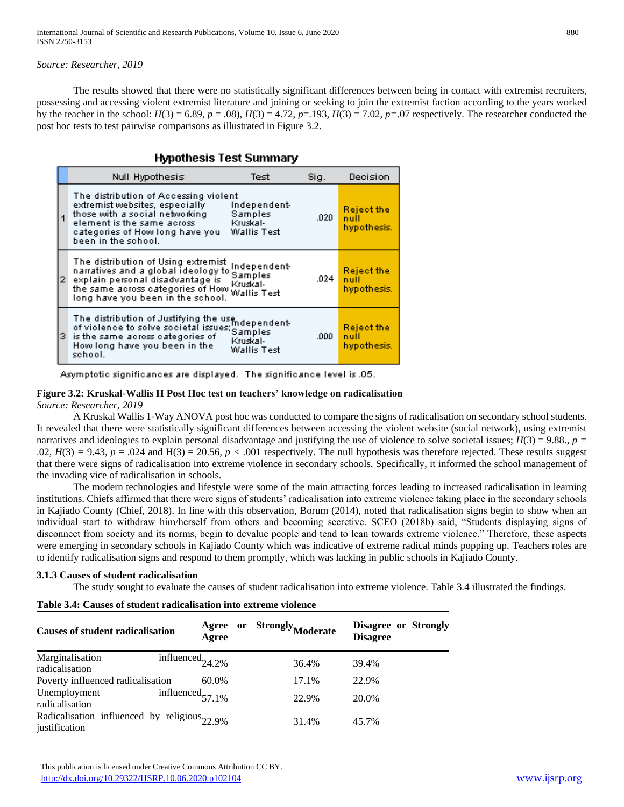*Source: Researcher, 2019*

The results showed that there were no statistically significant differences between being in contact with extremist recruiters, possessing and accessing violent extremist literature and joining or seeking to join the extremist faction according to the years worked by the teacher in the school:  $H(3) = 6.89$ ,  $p = .08$ ),  $H(3) = 4.72$ ,  $p = .193$ ,  $H(3) = 7.02$ ,  $p = .07$  respectively. The researcher conducted the post hoc tests to test pairwise comparisons as illustrated in Figure 3.2.

# **Hypothesis Test Summary**

|    | Null Hypothesis                                                                                                                                                                                      | Test                                               | Sig. | Decision                                 |
|----|------------------------------------------------------------------------------------------------------------------------------------------------------------------------------------------------------|----------------------------------------------------|------|------------------------------------------|
| 1  | The distribution of Accessing violent<br>extremist websites, especially<br>those with a social networking<br>element is the same across.<br>categories of How long have you<br>been in the school.   | Independent-<br>Samples<br>Kruskal-<br>Wallis Test | .020 | <b>Reject the</b><br>null<br>hypothesis. |
| 2. | The distribution of Using extremist<br>narratives and a global ideology to<br>explain personal disadvantage is<br>the same across categories of How Wallis Test<br>long have you been in the school. | Independent-<br>Samples<br>Kruskal-                | .024 | <b>Reject the</b><br>null<br>hypothesis. |
| з. | The distribution of Justifying the use<br>of violence to solve societal issues: Samples<br>is the same across categories of<br>How long have you been in the<br>school.                              | Kruskal-<br>Wallis Testi                           | .000 | <b>Reject the</b><br>null<br>hypothesis. |

Asymptotic significances are displayed. The significance level is .05.

#### **Figure 3.2: Kruskal-Wallis H Post Hoc test on teachers' knowledge on radicalisation** *Source: Researcher, 2019*

A Kruskal Wallis 1-Way ANOVA post hoc was conducted to compare the signs of radicalisation on secondary school students. It revealed that there were statistically significant differences between accessing the violent website (social network), using extremist narratives and ideologies to explain personal disadvantage and justifying the use of violence to solve societal issues;  $H(3) = 9.88$ ,  $p =$  $.02, H(3) = 9.43, p = .024$  and  $H(3) = 20.56, p < .001$  respectively. The null hypothesis was therefore rejected. These results suggest that there were signs of radicalisation into extreme violence in secondary schools. Specifically, it informed the school management of the invading vice of radicalisation in schools.

The modern technologies and lifestyle were some of the main attracting forces leading to increased radicalisation in learning institutions. Chiefs affirmed that there were signs of students' radicalisation into extreme violence taking place in the secondary schools in Kajiado County (Chief, 2018). In line with this observation, Borum (2014), noted that radicalisation signs begin to show when an individual start to withdraw him/herself from others and becoming secretive. SCEO (2018b) said, "Students displaying signs of disconnect from society and its norms, begin to devalue people and tend to lean towards extreme violence." Therefore, these aspects were emerging in secondary schools in Kajiado County which was indicative of extreme radical minds popping up. Teachers roles are to identify radicalisation signs and respond to them promptly, which was lacking in public schools in Kajiado County.

# **3.1.3 Causes of student radicalisation**

The study sought to evaluate the causes of student radicalisation into extreme violence. Table 3.4 illustrated the findings.

|  | Table 3.4: Causes of student radicalisation into extreme violence |  |  |
|--|-------------------------------------------------------------------|--|--|
|  |                                                                   |  |  |

| <b>Causes of student radicalisation</b>                                  | Agree<br>Agree              | <b>Strongly Moderate</b><br>or | Disagree or Strongly<br><b>Disagree</b> |
|--------------------------------------------------------------------------|-----------------------------|--------------------------------|-----------------------------------------|
| Marginalisation<br>radicalisation                                        | influenced <sub>24.2%</sub> | 36.4%                          | 39.4%                                   |
| Poverty influenced radicalisation                                        | 60.0%                       | 17.1%                          | 22.9%                                   |
| Unemployment<br>radicalisation                                           | influenced $_{57,1\%}$      | 22.9%                          | 20.0%                                   |
| Radicalisation influenced by religious <sub>22.9%</sub><br>justification |                             | 31.4%                          | 45.7%                                   |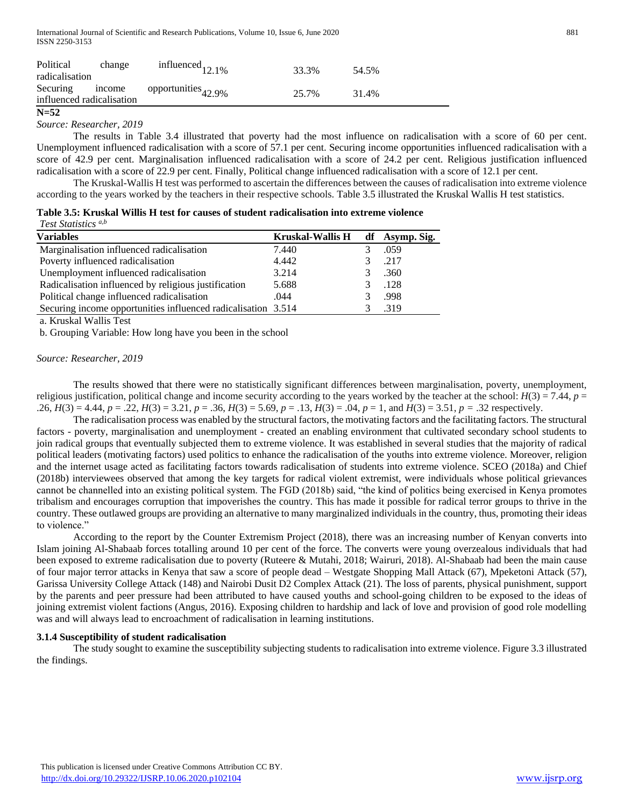| Political<br>radicalisation                  | change | influenced <sub>12.1%</sub>    | 33.3% | 54.5% |
|----------------------------------------------|--------|--------------------------------|-------|-------|
| Securing income<br>influenced radicalisation |        | opportunities <sub>42.9%</sub> | 25.7% | 31.4% |

#### **N=52**

*Source: Researcher, 2019*

The results in Table 3.4 illustrated that poverty had the most influence on radicalisation with a score of 60 per cent. Unemployment influenced radicalisation with a score of 57.1 per cent. Securing income opportunities influenced radicalisation with a score of 42.9 per cent. Marginalisation influenced radicalisation with a score of 24.2 per cent. Religious justification influenced radicalisation with a score of 22.9 per cent. Finally, Political change influenced radicalisation with a score of 12.1 per cent.

The Kruskal-Wallis H test was performed to ascertain the differences between the causes of radicalisation into extreme violence according to the years worked by the teachers in their respective schools. Table 3.5 illustrated the Kruskal Wallis H test statistics.

|                            |  | Table 3.5: Kruskal Willis H test for causes of student radicalisation into extreme violence |  |
|----------------------------|--|---------------------------------------------------------------------------------------------|--|
| <b>Test Statistics</b> a,b |  |                                                                                             |  |

| <b>Variables</b>                                              | <b>Kruskal-Wallis H</b> | df Asymp. Sig. |
|---------------------------------------------------------------|-------------------------|----------------|
| Marginalisation influenced radicalisation                     | 7.440                   | .059           |
| Poverty influenced radicalisation                             | 4.442                   | .217           |
| Unemployment influenced radicalisation                        | 3.214                   | .360           |
| Radicalisation influenced by religious justification          | 5.688                   | .128           |
| Political change influenced radicalisation                    | .044                    | .998           |
| Securing income opportunities influenced radicalisation 3.514 |                         | .319           |

a. Kruskal Wallis Test

b. Grouping Variable: How long have you been in the school

#### *Source: Researcher, 2019*

The results showed that there were no statistically significant differences between marginalisation, poverty, unemployment, religious justification, political change and income security according to the years worked by the teacher at the school:  $H(3) = 7.44$ ,  $p =$  $.26, H(3) = 4.44, p = .22, H(3) = 3.21, p = .36, H(3) = 5.69, p = .13, H(3) = .04, p = 1, \text{ and } H(3) = 3.51, p = .32 \text{ respectively.}$ 

The radicalisation process was enabled by the structural factors, the motivating factors and the facilitating factors. The structural factors - poverty, marginalisation and unemployment - created an enabling environment that cultivated secondary school students to join radical groups that eventually subjected them to extreme violence. It was established in several studies that the majority of radical political leaders (motivating factors) used politics to enhance the radicalisation of the youths into extreme violence. Moreover, religion and the internet usage acted as facilitating factors towards radicalisation of students into extreme violence. SCEO (2018a) and Chief (2018b) interviewees observed that among the key targets for radical violent extremist, were individuals whose political grievances cannot be channelled into an existing political system. The FGD (2018b) said, "the kind of politics being exercised in Kenya promotes tribalism and encourages corruption that impoverishes the country. This has made it possible for radical terror groups to thrive in the country. These outlawed groups are providing an alternative to many marginalized individuals in the country, thus, promoting their ideas to violence."

According to the report by the Counter Extremism Project (2018), there was an increasing number of Kenyan converts into Islam joining Al-Shabaab forces totalling around 10 per cent of the force. The converts were young overzealous individuals that had been exposed to extreme radicalisation due to poverty (Ruteere & Mutahi, 2018; Wairuri, 2018). Al-Shabaab had been the main cause of four major terror attacks in Kenya that saw a score of people dead – Westgate Shopping Mall Attack (67), Mpeketoni Attack (57), Garissa University College Attack (148) and Nairobi Dusit D2 Complex Attack (21). The loss of parents, physical punishment, support by the parents and peer pressure had been attributed to have caused youths and school-going children to be exposed to the ideas of joining extremist violent factions (Angus, 2016). Exposing children to hardship and lack of love and provision of good role modelling was and will always lead to encroachment of radicalisation in learning institutions.

#### **3.1.4 Susceptibility of student radicalisation**

The study sought to examine the susceptibility subjecting students to radicalisation into extreme violence. Figure 3.3 illustrated the findings.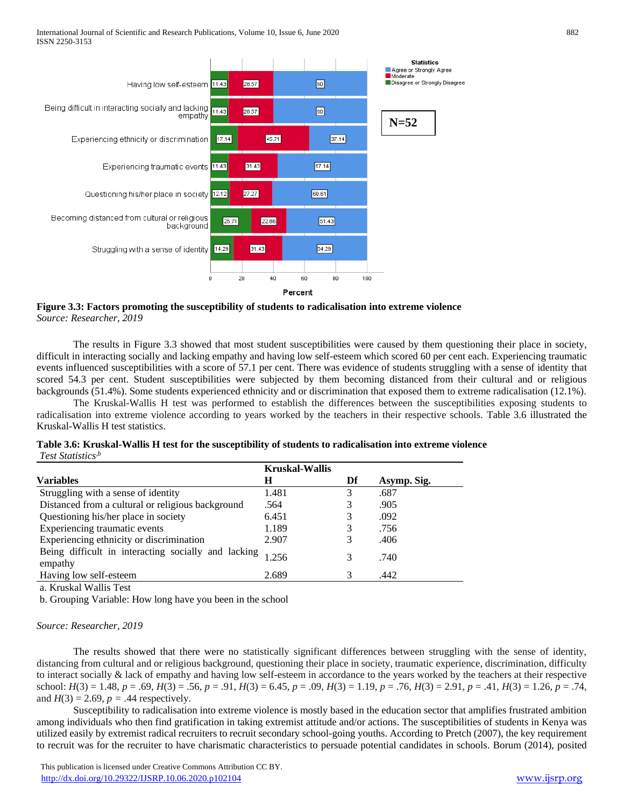

**Figure 3.3: Factors promoting the susceptibility of students to radicalisation into extreme violence** *Source: Researcher, 2019*

The results in Figure 3.3 showed that most student susceptibilities were caused by them questioning their place in society, difficult in interacting socially and lacking empathy and having low self-esteem which scored 60 per cent each. Experiencing traumatic events influenced susceptibilities with a score of 57.1 per cent. There was evidence of students struggling with a sense of identity that scored 54.3 per cent. Student susceptibilities were subjected by them becoming distanced from their cultural and or religious backgrounds (51.4%). Some students experienced ethnicity and or discrimination that exposed them to extreme radicalisation (12.1%).

The Kruskal-Wallis H test was performed to establish the differences between the susceptibilities exposing students to radicalisation into extreme violence according to years worked by the teachers in their respective schools. Table 3.6 illustrated the Kruskal-Wallis H test statistics.

| Table 3.6: Kruskal-Wallis H test for the susceptibility of students to radicalisation into extreme violence |  |
|-------------------------------------------------------------------------------------------------------------|--|
| Test Statistics <sup>,b</sup>                                                                               |  |

|                                                                | <b>Kruskal-Wallis</b> |    |             |
|----------------------------------------------------------------|-----------------------|----|-------------|
| <b>Variables</b>                                               | Н                     | Df | Asymp. Sig. |
| Struggling with a sense of identity                            | 1.481                 | 3  | .687        |
| Distanced from a cultural or religious background              | .564                  |    | .905        |
| Questioning his/her place in society                           | 6.451                 | 3  | .092        |
| Experiencing traumatic events                                  | 1.189                 |    | .756        |
| Experiencing ethnicity or discrimination                       | 2.907                 | 3  | .406        |
| Being difficult in interacting socially and lacking<br>empathy | 1.256                 | 3  | .740        |
| Having low self-esteem                                         | 2.689                 | 3  | .442        |

a. Kruskal Wallis Test

b. Grouping Variable: How long have you been in the school

#### *Source: Researcher, 2019*

The results showed that there were no statistically significant differences between struggling with the sense of identity, distancing from cultural and or religious background, questioning their place in society, traumatic experience, discrimination, difficulty to interact socially & lack of empathy and having low self-esteem in accordance to the years worked by the teachers at their respective school: *H*(3) = 1.48, *p* = .69, *H*(3) = .56, *p* = .91, *H*(3) = 6.45, *p* = .09, *H*(3) = 1.19, *p* = .76, *H*(3) = 2.91, *p* = .41, *H*(3) = 1.26, *p* = .74, and  $H(3) = 2.69$ ,  $p = .44$  respectively.

Susceptibility to radicalisation into extreme violence is mostly based in the education sector that amplifies frustrated ambition among individuals who then find gratification in taking extremist attitude and/or actions. The susceptibilities of students in Kenya was utilized easily by extremist radical recruiters to recruit secondary school-going youths. According to Pretch (2007), the key requirement to recruit was for the recruiter to have charismatic characteristics to persuade potential candidates in schools. Borum (2014), posited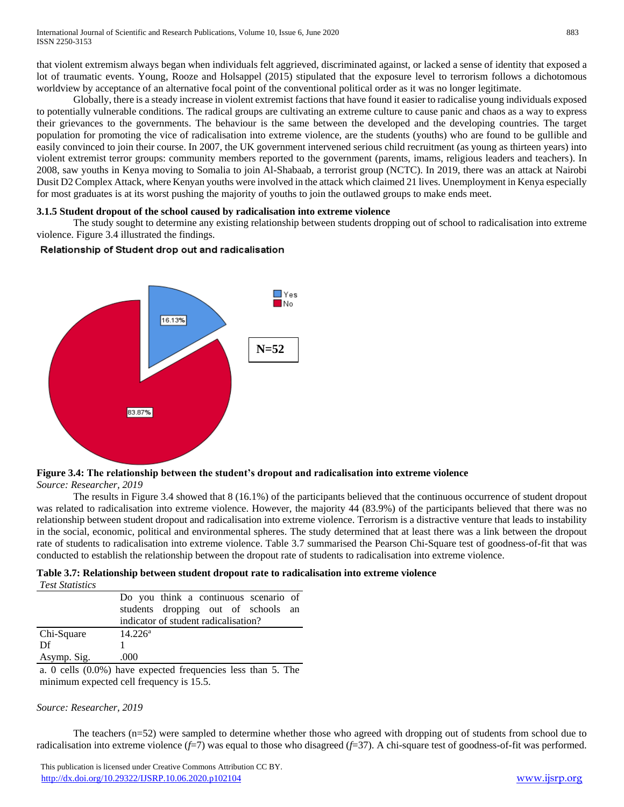that violent extremism always began when individuals felt aggrieved, discriminated against, or lacked a sense of identity that exposed a lot of traumatic events. Young, Rooze and Holsappel (2015) stipulated that the exposure level to terrorism follows a dichotomous worldview by acceptance of an alternative focal point of the conventional political order as it was no longer legitimate.

Globally, there is a steady increase in violent extremist factions that have found it easier to radicalise young individuals exposed to potentially vulnerable conditions. The radical groups are cultivating an extreme culture to cause panic and chaos as a way to express their grievances to the governments. The behaviour is the same between the developed and the developing countries. The target population for promoting the vice of radicalisation into extreme violence, are the students (youths) who are found to be gullible and easily convinced to join their course. In 2007, the UK government intervened serious child recruitment (as young as thirteen years) into violent extremist terror groups: community members reported to the government (parents, imams, religious leaders and teachers). In 2008, saw youths in Kenya moving to Somalia to join Al-Shabaab, a terrorist group (NCTC). In 2019, there was an attack at Nairobi Dusit D2 Complex Attack, where Kenyan youths were involved in the attack which claimed 21 lives. Unemployment in Kenya especially for most graduates is at its worst pushing the majority of youths to join the outlawed groups to make ends meet.

#### **3.1.5 Student dropout of the school caused by radicalisation into extreme violence**

The study sought to determine any existing relationship between students dropping out of school to radicalisation into extreme violence. Figure 3.4 illustrated the findings.

# Relationship of Student drop out and radicalisation



#### **Figure 3.4: The relationship between the student's dropout and radicalisation into extreme violence** *Source: Researcher, 2019*

The results in Figure 3.4 showed that 8 (16.1%) of the participants believed that the continuous occurrence of student dropout was related to radicalisation into extreme violence. However, the majority 44 (83.9%) of the participants believed that there was no relationship between student dropout and radicalisation into extreme violence. Terrorism is a distractive venture that leads to instability in the social, economic, political and environmental spheres. The study determined that at least there was a link between the dropout rate of students to radicalisation into extreme violence. Table 3.7 summarised the Pearson Chi-Square test of goodness-of-fit that was conducted to establish the relationship between the dropout rate of students to radicalisation into extreme violence.

| Table 3.7: Relationship between student dropout rate to radicalisation into extreme violence |  |  |  |
|----------------------------------------------------------------------------------------------|--|--|--|
|----------------------------------------------------------------------------------------------|--|--|--|

| <b>Test Statistics</b>                                                                                 |                                       |
|--------------------------------------------------------------------------------------------------------|---------------------------------------|
|                                                                                                        | Do you think a continuous scenario of |
|                                                                                                        | students dropping out of schools an   |
|                                                                                                        | indicator of student radicalisation?  |
| Chi-Square                                                                                             | $14.226^a$                            |
| Df                                                                                                     |                                       |
| Asymp. Sig.                                                                                            | .000                                  |
| $\sim$ 0 $\sim$ 11. (0.00) 1 $\sim$ $\sim$ 1.0. $\sim$ 1.0. $\sim$ 1 $\sim$ 1 $\sim$ $\sim$ $\sim$ TH. |                                       |

a. 0 cells (0.0%) have expected frequencies less than 5. The minimum expected cell frequency is 15.5.

# *Source: Researcher, 2019*

The teachers (n=52) were sampled to determine whether those who agreed with dropping out of students from school due to radicalisation into extreme violence (*f*=7) was equal to those who disagreed (*f*=37). A chi-square test of goodness-of-fit was performed.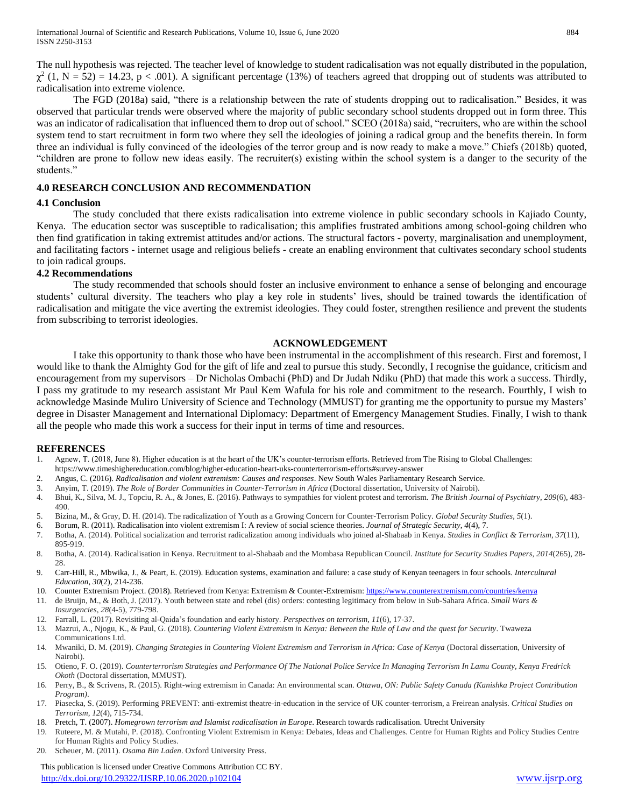The null hypothesis was rejected. The teacher level of knowledge to student radicalisation was not equally distributed in the population,  $\chi^2$  (1, N = 52) = 14.23, p < .001). A significant percentage (13%) of teachers agreed that dropping out of students was attributed to radicalisation into extreme violence.

The FGD (2018a) said, "there is a relationship between the rate of students dropping out to radicalisation." Besides, it was observed that particular trends were observed where the majority of public secondary school students dropped out in form three. This was an indicator of radicalisation that influenced them to drop out of school." SCEO (2018a) said, "recruiters, who are within the school system tend to start recruitment in form two where they sell the ideologies of joining a radical group and the benefits therein. In form three an individual is fully convinced of the ideologies of the terror group and is now ready to make a move." Chiefs (2018b) quoted, "children are prone to follow new ideas easily. The recruiter(s) existing within the school system is a danger to the security of the students."

#### **4.0 RESEARCH CONCLUSION AND RECOMMENDATION**

#### **4.1 Conclusion**

The study concluded that there exists radicalisation into extreme violence in public secondary schools in Kajiado County, Kenya. The education sector was susceptible to radicalisation; this amplifies frustrated ambitions among school-going children who then find gratification in taking extremist attitudes and/or actions. The structural factors - poverty, marginalisation and unemployment, and facilitating factors - internet usage and religious beliefs - create an enabling environment that cultivates secondary school students to join radical groups.

# **4.2 Recommendations**

The study recommended that schools should foster an inclusive environment to enhance a sense of belonging and encourage students' cultural diversity. The teachers who play a key role in students' lives, should be trained towards the identification of radicalisation and mitigate the vice averting the extremist ideologies. They could foster, strengthen resilience and prevent the students from subscribing to terrorist ideologies.

# **ACKNOWLEDGEMENT**

I take this opportunity to thank those who have been instrumental in the accomplishment of this research. First and foremost, I would like to thank the Almighty God for the gift of life and zeal to pursue this study. Secondly, I recognise the guidance, criticism and encouragement from my supervisors – Dr Nicholas Ombachi (PhD) and Dr Judah Ndiku (PhD) that made this work a success. Thirdly, I pass my gratitude to my research assistant Mr Paul Kem Wafula for his role and commitment to the research. Fourthly, I wish to acknowledge Masinde Muliro University of Science and Technology (MMUST) for granting me the opportunity to pursue my Masters' degree in Disaster Management and International Diplomacy: Department of Emergency Management Studies. Finally, I wish to thank all the people who made this work a success for their input in terms of time and resources.

# **REFERENCES**

- 1. Agnew, T. (2018, June 8). Higher education is at the heart of the UK's counter-terrorism efforts. Retrieved from The Rising to Global Challenges:
- https://www.timeshighereducation.com/blog/higher-education-heart-uks-counterterrorism-efforts#survey-answer
- 2. Angus, C. (2016). *Radicalisation and violent extremism: Causes and responses*. New South Wales Parliamentary Research Service.
- 3. Anyim, T. (2019). *The Role of Border Communities in Counter-Terrorism in Africa* (Doctoral dissertation, University of Nairobi).
- 4. Bhui, K., Silva, M. J., Topciu, R. A., & Jones, E. (2016). Pathways to sympathies for violent protest and terrorism. *The British Journal of Psychiatry*, *209*(6), 483- 490.
- 5. Bizina, M., & Gray, D. H. (2014). The radicalization of Youth as a Growing Concern for Counter-Terrorism Policy. *Global Security Studies*, *5*(1).
- 6. Borum, R. (2011). Radicalisation into violent extremism I: A review of social science theories. *Journal of Strategic Security*, *4*(4), 7.
- 7. Botha, A. (2014). Political socialization and terrorist radicalization among individuals who joined al-Shabaab in Kenya. *Studies in Conflict & Terrorism*, *37*(11), 895-919.
- 8. Botha, A. (2014). Radicalisation in Kenya. Recruitment to al-Shabaab and the Mombasa Republican Council. *Institute for Security Studies Papers*, *2014*(265), 28- 28.
- 9. Carr-Hill, R., Mbwika, J., & Peart, E. (2019). Education systems, examination and failure: a case study of Kenyan teenagers in four schools. *Intercultural Education*, *30*(2), 214-236.
- 10. Counter Extremism Project. (2018). Retrieved from Kenya: Extremism & Counter-Extremism[: https://www.counterextremism.com/countries/kenya](https://www.counterextremism.com/countries/kenya)
- 11. de Bruijn, M., & Both, J. (2017). Youth between state and rebel (dis) orders: contesting legitimacy from below in Sub-Sahara Africa. *Small Wars & Insurgencies*, *28*(4-5), 779-798.
- 12. Farrall, L. (2017). Revisiting al-Qaida's foundation and early history. *Perspectives on terrorism*, *11*(6), 17-37.
- 13. Mazrui, A., Njogu, K., & Paul, G. (2018). *Countering Violent Extremism in Kenya: Between the Rule of Law and the quest for Security*. Twaweza Communications Ltd.
- 14. Mwaniki, D. M. (2019). *Changing Strategies in Countering Violent Extremism and Terrorism in Africa: Case of Kenya* (Doctoral dissertation, University of Nairobi).
- 15. Otieno, F. O. (2019). *Counterterrorism Strategies and Performance Of The National Police Service In Managing Terrorism In Lamu County, Kenya Fredrick Okoth* (Doctoral dissertation, MMUST).
- 16. Perry, B., & Scrivens, R. (2015). Right-wing extremism in Canada: An environmental scan. *Ottawa, ON: Public Safety Canada (Kanishka Project Contribution Program)*.
- 17. Piasecka, S. (2019). Performing PREVENT: anti-extremist theatre-in-education in the service of UK counter-terrorism, a Freirean analysis. *Critical Studies on Terrorism*, *12*(4), 715-734.
- 18. Pretch, T. (2007). *Homegrown terrorism and Islamist radicalisation in Europe*. Research towards radicalisation. Utrecht University
- 19. Ruteere, M. & Mutahi, P. (2018). Confronting Violent Extremism in Kenya: Debates, Ideas and Challenges. Centre for Human Rights and Policy Studies Centre for Human Rights and Policy Studies.
- 20. Scheuer, M. (2011). *Osama Bin Laden*. Oxford University Press.

 This publication is licensed under Creative Commons Attribution CC BY. <http://dx.doi.org/10.29322/IJSRP.10.06.2020.p102104> [www.ijsrp.org](http://ijsrp.org/)